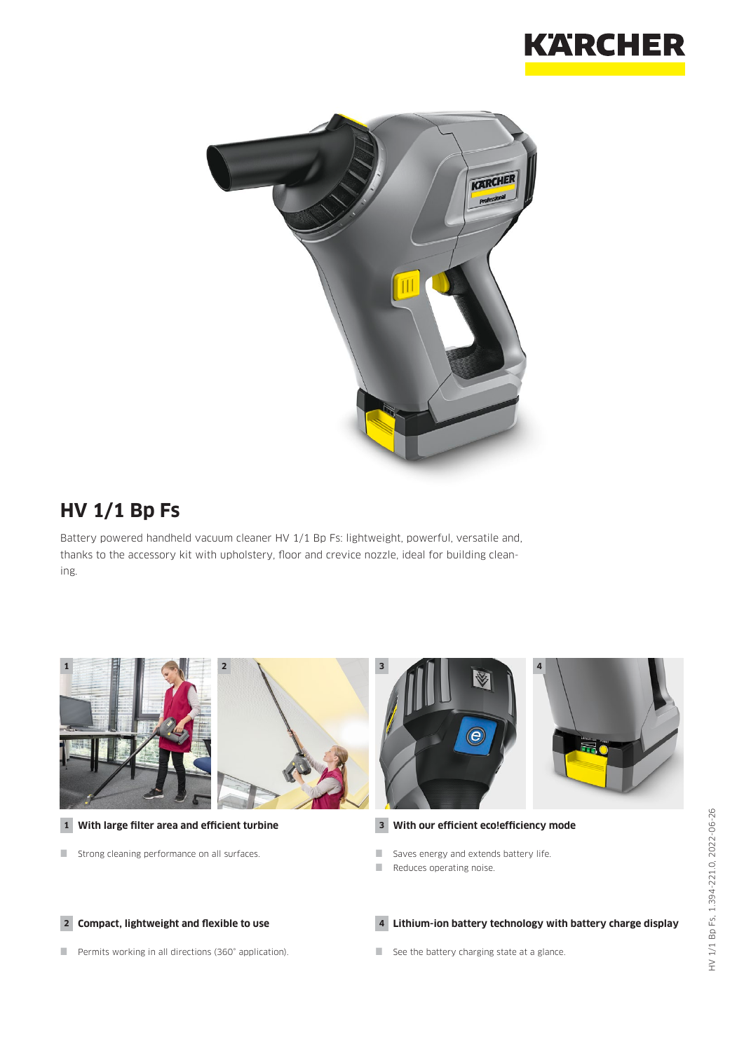



## **HV 1/1 Bp Fs**

Battery powered handheld vacuum cleaner HV 1/1 Bp Fs: lightweight, powerful, versatile and, thanks to the accessory kit with upholstery, floor and crevice nozzle, ideal for building cleaning.

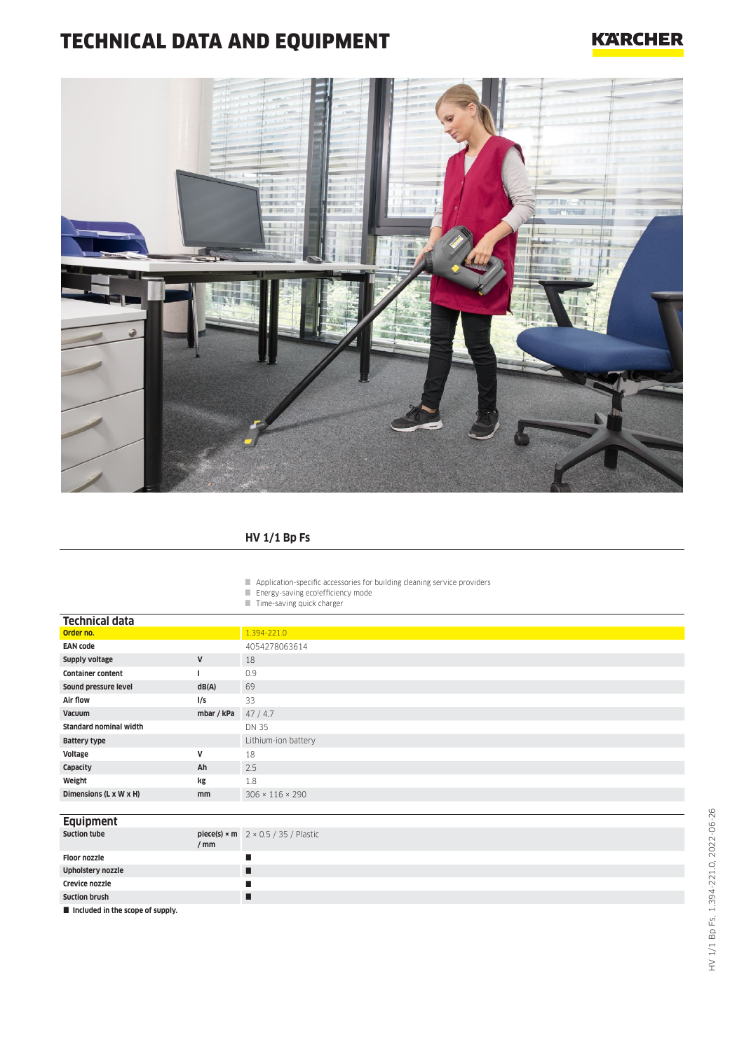# TECHNICAL DATA AND EQUIPMENT

### **KARCHER**



#### **HV 1/1 Bp Fs**

- Application-specific accessories for building cleaning service providers
- Energy-saving eco!efficiency mode
- $\blacksquare$  Time-saving quick charger

| <b>Technical data</b>         |              |                                                   |
|-------------------------------|--------------|---------------------------------------------------|
| Order no.                     |              | 1.394-221.0                                       |
| <b>EAN code</b>               |              | 4054278063614                                     |
| Supply voltage                | V            | 18                                                |
| <b>Container content</b>      |              | 0.9                                               |
| Sound pressure level          | dB(A)        | 69                                                |
| Air flow                      | l/s          | 33                                                |
| Vacuum                        | mbar / kPa   | 47/4.7                                            |
| <b>Standard nominal width</b> |              | DN 35                                             |
| <b>Battery type</b>           |              | Lithium-ion battery                               |
| Voltage                       | $\mathsf{v}$ | 18                                                |
| Capacity                      | Ah           | 2.5                                               |
| Weight                        | kg           | 1.8                                               |
| Dimensions (L x W x H)        | mm           | $306 \times 116 \times 290$                       |
|                               |              |                                                   |
| <b>Equipment</b>              |              |                                                   |
| <b>Suction tube</b>           | / mm         | piece(s) $\times$ m $2 \times 0.5 / 35 /$ Plastic |

**Floor nozzle Upholstery nozzle Crevice nozzle Suction brush**

 $\blacksquare$  Included in the scope of supply.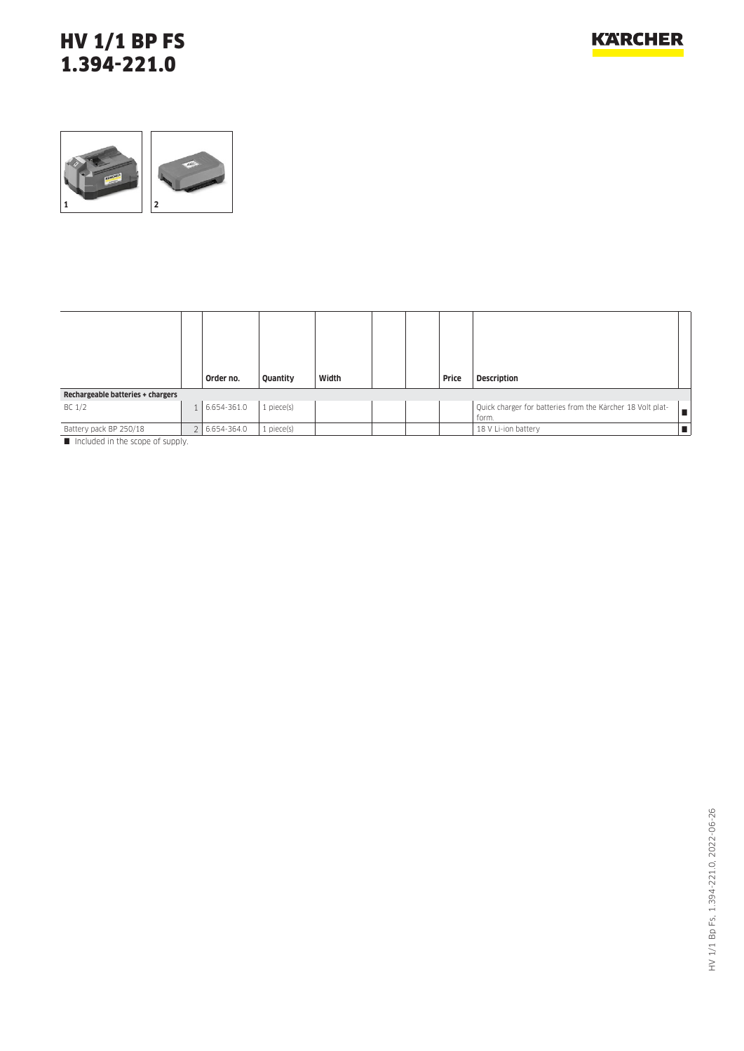### HV 1/1 BP FS 1.394-221.0



| Width<br>Price<br><b>Description</b><br>Quantity<br>Order no.                                                                                   |   |  |  |  |  |  |  |  |  |
|-------------------------------------------------------------------------------------------------------------------------------------------------|---|--|--|--|--|--|--|--|--|
| Rechargeable batteries + chargers                                                                                                               |   |  |  |  |  |  |  |  |  |
| $1$ piece $(s)$<br>Quick charger for batteries from the Kärcher 18 Volt plat-<br>BC 1/2<br>6.654-361.0<br>form.                                 | п |  |  |  |  |  |  |  |  |
| $1$ piece $(s)$<br>18 V Li-ion battery<br>6.654-364.0<br>Battery pack BP 250/18<br><b>1988</b> - The alternative attack a second and account of |   |  |  |  |  |  |  |  |  |

Included in the scope of supply.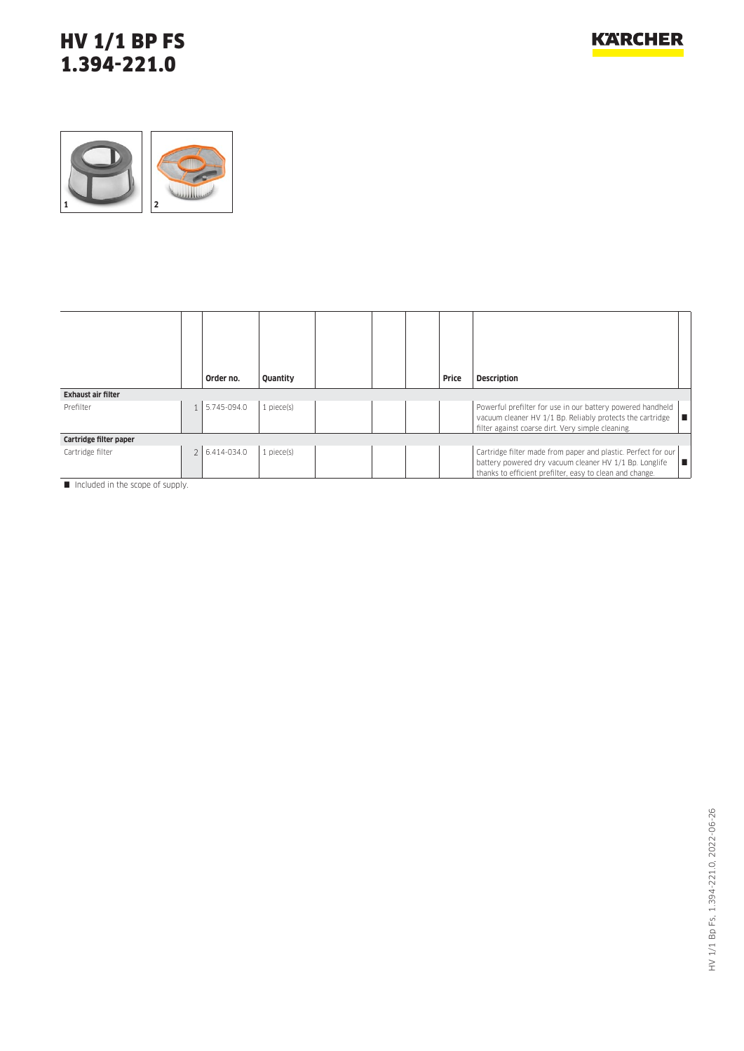### HV 1/1 BP FS 1.394-221.0



|                           |  | Order no.     | Quantity        |  |  |  | Price | <b>Description</b>                                                                                                                                                                  |
|---------------------------|--|---------------|-----------------|--|--|--|-------|-------------------------------------------------------------------------------------------------------------------------------------------------------------------------------------|
| <b>Exhaust air filter</b> |  |               |                 |  |  |  |       |                                                                                                                                                                                     |
| Prefilter                 |  | 1 5.745-094.0 | $1$ piece $(s)$ |  |  |  |       | Powerful prefilter for use in our battery powered handheld<br>vacuum cleaner HV 1/1 Bp. Reliably protects the cartridge<br>filter against coarse dirt. Very simple cleaning.        |
| Cartridge filter paper    |  |               |                 |  |  |  |       |                                                                                                                                                                                     |
| Cartridge filter          |  | 2 6.414-034.0 | $1$ piece $(s)$ |  |  |  |       | Cartridge filter made from paper and plastic. Perfect for our<br>battery powered dry vacuum cleaner HV 1/1 Bp. Longlife<br>thanks to efficient prefilter, easy to clean and change. |

Included in the scope of supply.